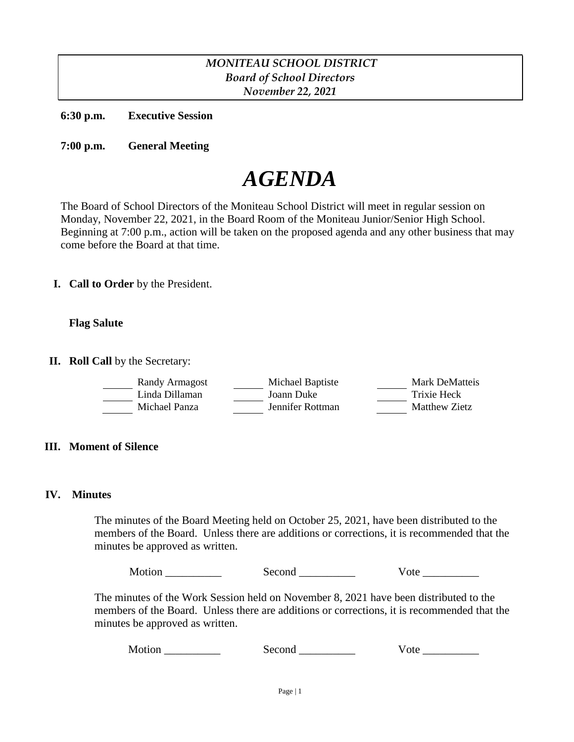# *MONITEAU SCHOOL DISTRICT Board of School Directors November 22, 2021*

**6:30 p.m. Executive Session**

**7:00 p.m. General Meeting**

# *AGENDA*

The Board of School Directors of the Moniteau School District will meet in regular session on Monday, November 22, 2021, in the Board Room of the Moniteau Junior/Senior High School. Beginning at 7:00 p.m., action will be taken on the proposed agenda and any other business that may come before the Board at that time.

**I. Call to Order** by the President.

# **Flag Salute**

**II. Roll Call** by the Secretary:

| Randy Armagost | Michael Baptiste | Mark DeMatteis |
|----------------|------------------|----------------|
| Linda Dillaman | Joann Duke       | Trixie Heck    |
| Michael Panza  | Jennifer Rottman | Matthew Zietz  |

# **III. Moment of Silence**

#### **IV. Minutes**

The minutes of the Board Meeting held on October 25, 2021, have been distributed to the members of the Board. Unless there are additions or corrections, it is recommended that the minutes be approved as written.

Motion Second Vote

The minutes of the Work Session held on November 8, 2021 have been distributed to the members of the Board. Unless there are additions or corrections, it is recommended that the minutes be approved as written.

Motion Second Vote **With Second** Vote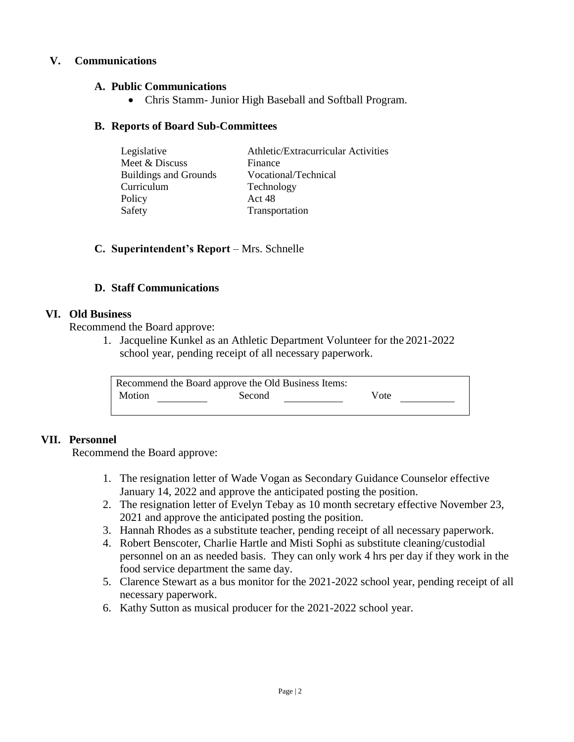# **V. Communications**

# **A. Public Communications**

Chris Stamm- Junior High Baseball and Softball Program.

#### **B. Reports of Board Sub-Committees**

| Legislative                  | Athletic/Extracurricular Activities |
|------------------------------|-------------------------------------|
| Meet & Discuss               | Finance                             |
| <b>Buildings and Grounds</b> | Vocational/Technical                |
| Curriculum                   | Technology                          |
| Policy                       | Act 48                              |
| Safety                       | Transportation                      |

#### **C. Superintendent's Report** – Mrs. Schnelle

#### **D. Staff Communications**

#### **VI. Old Business**

Recommend the Board approve:

1. Jacqueline Kunkel as an Athletic Department Volunteer for the 2021-2022 school year, pending receipt of all necessary paperwork.

| Recommend the Board approve the Old Business Items: |        |      |  |
|-----------------------------------------------------|--------|------|--|
| Motion                                              | Second | Vote |  |
|                                                     |        |      |  |

# **VII. Personnel**

Recommend the Board approve:

- 1. The resignation letter of Wade Vogan as Secondary Guidance Counselor effective January 14, 2022 and approve the anticipated posting the position.
- 2. The resignation letter of Evelyn Tebay as 10 month secretary effective November 23, 2021 and approve the anticipated posting the position.
- 3. Hannah Rhodes as a substitute teacher, pending receipt of all necessary paperwork.
- 4. Robert Benscoter, Charlie Hartle and Misti Sophi as substitute cleaning/custodial personnel on an as needed basis. They can only work 4 hrs per day if they work in the food service department the same day.
- 5. Clarence Stewart as a bus monitor for the 2021-2022 school year, pending receipt of all necessary paperwork.
- 6. Kathy Sutton as musical producer for the 2021-2022 school year.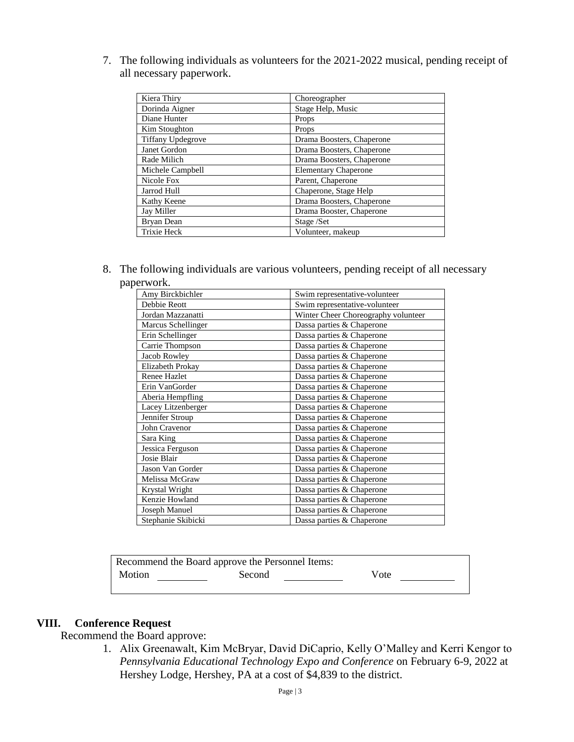7. The following individuals as volunteers for the 2021-2022 musical, pending receipt of all necessary paperwork.

| Kiera Thiry              | Choreographer               |
|--------------------------|-----------------------------|
| Dorinda Aigner           | Stage Help, Music           |
| Diane Hunter             | Props                       |
| Kim Stoughton            | Props                       |
| <b>Tiffany Updegrove</b> | Drama Boosters, Chaperone   |
| Janet Gordon             | Drama Boosters, Chaperone   |
| Rade Milich              | Drama Boosters, Chaperone   |
| Michele Campbell         | <b>Elementary Chaperone</b> |
| Nicole Fox               | Parent, Chaperone           |
| Jarrod Hull              | Chaperone, Stage Help       |
| Kathy Keene              | Drama Boosters, Chaperone   |
| Jay Miller               | Drama Booster, Chaperone    |
| Bryan Dean               | Stage /Set                  |
| <b>Trixie Heck</b>       | Volunteer, makeup           |

8. The following individuals are various volunteers, pending receipt of all necessary paperwork.

| Amy Birckbichler    | Swim representative-volunteer       |  |
|---------------------|-------------------------------------|--|
| Debbie Reott        | Swim representative-volunteer       |  |
| Jordan Mazzanatti   | Winter Cheer Choreography volunteer |  |
| Marcus Schellinger  | Dassa parties & Chaperone           |  |
| Erin Schellinger    | Dassa parties & Chaperone           |  |
| Carrie Thompson     | Dassa parties & Chaperone           |  |
| Jacob Rowley        | Dassa parties & Chaperone           |  |
| Elizabeth Prokay    | Dassa parties & Chaperone           |  |
| <b>Renee Hazlet</b> | Dassa parties & Chaperone           |  |
| Erin VanGorder      | Dassa parties & Chaperone           |  |
| Aberia Hempfling    | Dassa parties & Chaperone           |  |
| Lacey Litzenberger  | Dassa parties & Chaperone           |  |
| Jennifer Stroup     | Dassa parties & Chaperone           |  |
| John Cravenor       | Dassa parties & Chaperone           |  |
| Sara King           | Dassa parties & Chaperone           |  |
| Jessica Ferguson    | Dassa parties & Chaperone           |  |
| Josie Blair         | Dassa parties & Chaperone           |  |
| Jason Van Gorder    | Dassa parties & Chaperone           |  |
| Melissa McGraw      | Dassa parties & Chaperone           |  |
| Krystal Wright      | Dassa parties & Chaperone           |  |
| Kenzie Howland      | Dassa parties & Chaperone           |  |
| Joseph Manuel       | Dassa parties & Chaperone           |  |
| Stephanie Skibicki  | Dassa parties & Chaperone           |  |

| Recommend the Board approve the Personnel Items: |        |      |  |
|--------------------------------------------------|--------|------|--|
| Motion                                           | Second | Vote |  |
|                                                  |        |      |  |

# **VIII. Conference Request**

Recommend the Board approve:

1. Alix Greenawalt, Kim McBryar, David DiCaprio, Kelly O'Malley and Kerri Kengor to *Pennsylvania Educational Technology Expo and Conference* on February 6-9, 2022 at Hershey Lodge, Hershey, PA at a cost of \$4,839 to the district.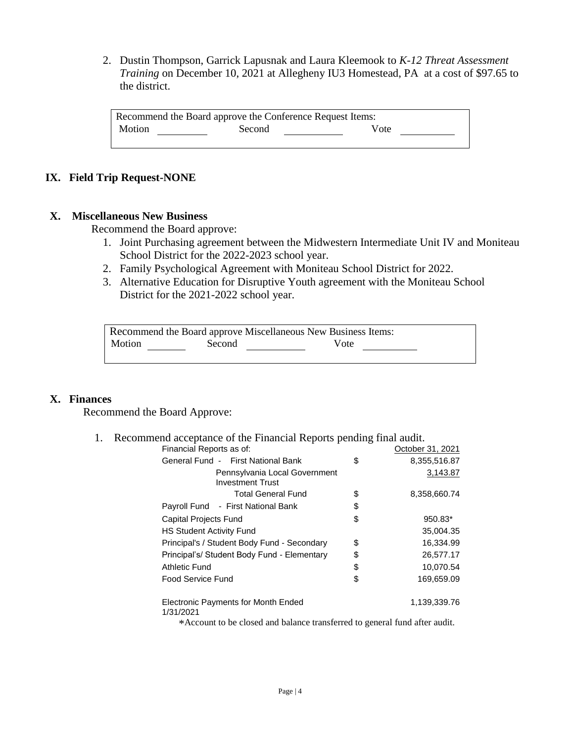2. Dustin Thompson, Garrick Lapusnak and Laura Kleemook to *K-12 Threat Assessment Training* on December 10, 2021 at Allegheny IU3 Homestead, PA at a cost of \$97.65 to the district.

Recommend the Board approve the Conference Request Items: Motion Second Vote

# **IX. Field Trip Request-NONE**

#### **X. Miscellaneous New Business**

Recommend the Board approve:

- 1. Joint Purchasing agreement between the Midwestern Intermediate Unit IV and Moniteau School District for the 2022-2023 school year.
- 2. Family Psychological Agreement with Moniteau School District for 2022.
- 3. Alternative Education for Disruptive Youth agreement with the Moniteau School District for the 2021-2022 school year.

| Recommend the Board approve Miscellaneous New Business Items: |        |      |  |
|---------------------------------------------------------------|--------|------|--|
| Motion                                                        | Second | Vote |  |

# **X. Finances**

Recommend the Board Approve:

#### 1. Recommend acceptance of the Financial Reports pending final audit.

| Financial Reports as of:                                                      | October 31, 2021   |
|-------------------------------------------------------------------------------|--------------------|
| General Fund - First National Bank                                            | \$<br>8,355,516.87 |
| Pennsylvania Local Government<br><b>Investment Trust</b>                      | 3,143.87           |
| <b>Total General Fund</b>                                                     | \$<br>8,358,660.74 |
| Payroll Fund - First National Bank                                            | \$                 |
| <b>Capital Projects Fund</b>                                                  | \$<br>950.83*      |
| <b>HS Student Activity Fund</b>                                               | 35,004.35          |
| Principal's / Student Body Fund - Secondary                                   | \$<br>16,334.99    |
| Principal's/ Student Body Fund - Elementary                                   | \$<br>26,577.17    |
| Athletic Fund                                                                 | \$<br>10,070.54    |
| Food Service Fund                                                             | \$<br>169,659.09   |
| <b>Electronic Payments for Month Ended</b><br>1/31/2021                       | 1,139,339.76       |
| to be a set of the closed and holones trensferred to consult fund often oudit |                    |

\*Account to be closed and balance transferred to general fund after audit.